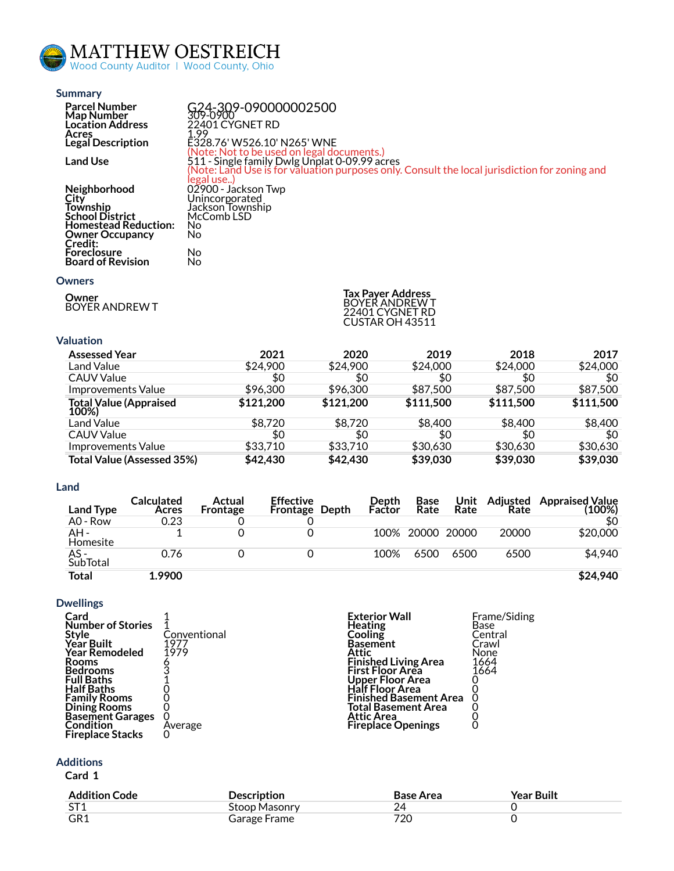

| <b>Summary</b>                                 |                                                                                               |
|------------------------------------------------|-----------------------------------------------------------------------------------------------|
| <b>Parcel Number</b>                           | G24-309-090000002500                                                                          |
| Map Number<br><b>Location Address</b>          | 309-0900<br>22401 CYGNET RD                                                                   |
| Acres                                          | 1.99                                                                                          |
| Legal Description                              | E328.76' W526.10' N265' WNE                                                                   |
| <b>Land Use</b>                                | (Note: Not to be used on legal documents.)<br>511 - Single family Dwlg Unplat 0-09.99 acres   |
|                                                | (Note: Land Use is for valuation purposes only. Consult the local jurisdiction for zoning and |
|                                                | legal use)                                                                                    |
| <b>Neighborhood</b><br>City                    | 02900 - Jackson Twp                                                                           |
| Township                                       | Unincorporated<br>Jackson Township                                                            |
| <b>School District</b>                         | McComb LSD                                                                                    |
| <b>Homestead Reduction:</b>                    | No                                                                                            |
| <b>Owner Occupancy</b>                         | No                                                                                            |
| Credit:                                        |                                                                                               |
| <b>Foreclosure</b><br><b>Board of Revision</b> | No<br>No                                                                                      |
|                                                |                                                                                               |

### **[Owners](https://beacon.schneidercorp.com/Application.aspx?AppID=1075&LayerID=26134&PageTypeID=4&PageID=10596&Q=1739272848&KeyValue=G24-309-090000002500)**

**Owner** BOYER ANDREW T

| <b>Tax Payer Address</b> |
|--------------------------|
| BOYER ANDREW T           |
| 22401 CYGNET RD          |
| CUSTAR OH 43511          |

# **[Valuation](https://beacon.schneidercorp.com/Application.aspx?AppID=1075&LayerID=26134&PageTypeID=4&PageID=10596&Q=594201412&KeyValue=G24-309-090000002500)**

| <b>Assessed Year</b>              | 2021      | 2020      | 2019      | 2018      | 2017      |
|-----------------------------------|-----------|-----------|-----------|-----------|-----------|
| Land Value                        | \$24,900  | \$24,900  | \$24,000  | \$24,000  | \$24,000  |
| <b>CAUV Value</b>                 | \$0       | \$0       | \$0       | \$0       | \$0       |
| Improvements Value                | \$96,300  | \$96,300  | \$87,500  | \$87,500  | \$87,500  |
| Total Value (Appraised<br>100%)   | \$121,200 | \$121,200 | \$111,500 | \$111,500 | \$111,500 |
| Land Value                        | \$8,720   | \$8,720   | \$8,400   | \$8,400   | \$8,400   |
| <b>CAUV Value</b>                 | \$0       | \$0       | \$0       | \$0       | \$0       |
| Improvements Value                | \$33,710  | \$33,710  | \$30,630  | \$30,630  | \$30,630  |
| <b>Total Value (Assessed 35%)</b> | \$42,430  | \$42,430  | \$39,030  | \$39,030  | \$39,030  |

## **[Land](https://beacon.schneidercorp.com/Application.aspx?AppID=1075&LayerID=26134&PageTypeID=4&PageID=10596&Q=594201412&KeyValue=G24-309-090000002500)**

| Land Type        | Calculated<br>Acres | Actual<br><b>Frontage</b> | <b>Effective</b><br><b>Frontage Depth</b> | Depth<br>Factor | <b>Base</b><br>Rate | Unit<br>Rate | Adiusted<br>Rate | <b>Appraised Value</b><br>$(100\%)$ |
|------------------|---------------------|---------------------------|-------------------------------------------|-----------------|---------------------|--------------|------------------|-------------------------------------|
| A0 - Row         | 0.23                |                           |                                           |                 |                     |              |                  | \$0                                 |
| AH -<br>Homesite |                     |                           |                                           |                 | 100% 20000 20000    |              | 20000            | \$20,000                            |
| AS -<br>SubTotal | 0.76                |                           |                                           | 100%            | 6500                | 6500         | 6500             | \$4,940                             |
| Total            | 1.9900              |                           |                                           |                 |                     |              |                  | \$24,940                            |

## **[Dwellings](https://beacon.schneidercorp.com/Application.aspx?AppID=1075&LayerID=26134&PageTypeID=4&PageID=10596&Q=594201412&KeyValue=G24-309-090000002500)**

| Card                     |              | <b>Exterior Wall</b>          | Frame/Siding |
|--------------------------|--------------|-------------------------------|--------------|
| <b>Number of Stories</b> |              | Heating                       | Base         |
| Style                    | Conventional | Cooling                       | Central      |
| <b>Year Built</b>        | 1977         | <b>Basement</b>               | Crawl        |
| <b>Year Remodeled</b>    | 1979         | Attic                         | None         |
| <b>Rooms</b>             |              | <b>Finished Living Area</b>   | 1664         |
| <b>Bedrooms</b>          |              | <b>First Floor Area</b>       | 1664         |
| <b>Full Baths</b>        |              | Upper Floor Area              |              |
| <b>Half Baths</b>        |              | <b>Half Floor Area</b>        |              |
| <b>Family Rooms</b>      |              | <b>Finished Basement Area</b> |              |
| Dining Rooms             |              | <b>Total Basement Area</b>    |              |
| <b>Basement Garages</b>  |              | Attic Area                    |              |
| Condition                | Average      | <b>Fireplace Openings</b>     |              |
| <b>Fireplace Stacks</b>  |              |                               |              |

# **[Additions](https://beacon.schneidercorp.com/Application.aspx?AppID=1075&LayerID=26134&PageTypeID=4&PageID=10596&Q=242829521&KeyValue=G24-309-090000002500)**

# **Card 1**

| <b>Addition Code</b> | <b>Description</b> | Base Area | <b>Year Built</b> |
|----------------------|--------------------|-----------|-------------------|
| ST <sub>1</sub>      | Stoop Masonry      |           |                   |
| GR <sub>1</sub>      | Garage Frame       | 720       |                   |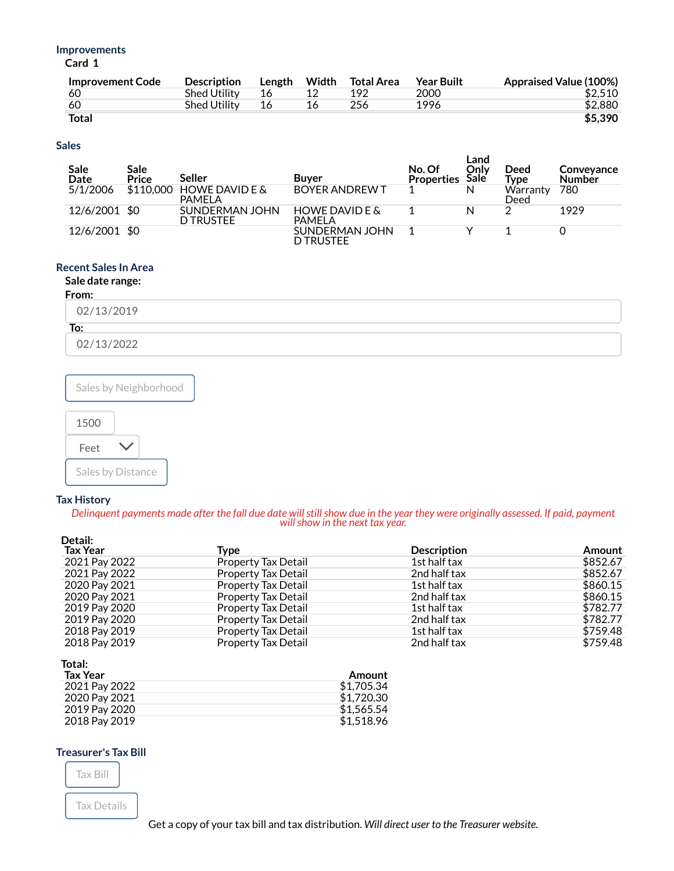### **[Improvements](https://beacon.schneidercorp.com/Application.aspx?AppID=1075&LayerID=26134&PageTypeID=4&PageID=10596&Q=242829521&KeyValue=G24-309-090000002500)**

**Card 1**

| <b>Improvement Code</b> | <b>Description</b>  | Length | Width | Total Area | <b>Year Built</b> | <b>Appraised Value (100%)</b> |
|-------------------------|---------------------|--------|-------|------------|-------------------|-------------------------------|
| -60                     | <b>Shed Utility</b> | 16     |       | 192        | 2000              | \$2,510                       |
| -60                     | <b>Shed Utility</b> | 16     | 16    | 256        | 1996              | \$2,880                       |
| <b>Total</b>            |                     |        |       |            |                   | \$5,390                       |

## **[Sales](https://beacon.schneidercorp.com/Application.aspx?AppID=1075&LayerID=26134&PageTypeID=4&PageID=10596&Q=242829521&KeyValue=G24-309-090000002500)**

| Sale<br>Date  | Sale<br>Price | Seller                              | <b>Buver</b>                       | No. Of<br><b>Properties</b> | Land<br>Onlv<br>Sale | Deed<br>Tvpe     | Conveyance<br><b>Number</b> |
|---------------|---------------|-------------------------------------|------------------------------------|-----------------------------|----------------------|------------------|-----------------------------|
| 5/1/2006      | \$110,000     | <b>HOWE DAVID E &amp;</b><br>PAMELA | <b>BOYER ANDREW T</b>              |                             | N                    | Warranty<br>Deed | 780                         |
| 12/6/2001 \$0 |               | SUNDERMAN JOHN<br><b>D TRUSTEE</b>  | HOWE DAVID E &<br>PAMELA           |                             | N                    | ⌒                | 1929                        |
| 12/6/2001 \$0 |               |                                     | SUNDERMAN JOHN<br><b>D TRUSTEE</b> |                             |                      |                  |                             |

# **[Recent](https://beacon.schneidercorp.com/Application.aspx?AppID=1075&LayerID=26134&PageTypeID=4&PageID=10596&Q=242829521&KeyValue=G24-309-090000002500) Sales In Area**

# **Sale date range:**

# **From:**

| 02/13/2019 |  |  |
|------------|--|--|
| To:        |  |  |
| 02/13/2022 |  |  |



## **Tax [History](https://beacon.schneidercorp.com/Application.aspx?AppID=1075&LayerID=26134&PageTypeID=4&PageID=10596&Q=242829521&KeyValue=G24-309-090000002500)**

Delinquent payments made after the fall due date will still show due in the year they were originally assessed. If paid, payment *willshow in the next tax year.*

| Detail:         |                            |                    |          |
|-----------------|----------------------------|--------------------|----------|
| <b>Tax Year</b> | Type                       | <b>Description</b> | Amount   |
| 2021 Pay 2022   | <b>Property Tax Detail</b> | 1st half tax       | \$852.67 |
| 2021 Pay 2022   | <b>Property Tax Detail</b> | 2nd half tax       | \$852.67 |
| 2020 Pay 2021   | <b>Property Tax Detail</b> | 1st half tax       | \$860.15 |
| 2020 Pay 2021   | <b>Property Tax Detail</b> | 2nd half tax       | \$860.15 |
| 2019 Pay 2020   | <b>Property Tax Detail</b> | 1st half tax       | \$782.77 |
| 2019 Pay 2020   | <b>Property Tax Detail</b> | 2nd half tax       | \$782.77 |
| 2018 Pay 2019   | <b>Property Tax Detail</b> | 1st half tax       | \$759.48 |
| 2018 Pay 2019   | <b>Property Tax Detail</b> | 2nd half tax       | \$759.48 |

#### **Total:**

| <b>Tax Year</b> | Amount     |
|-----------------|------------|
| 2021 Pay 2022   | \$1,705.34 |
| 2020 Pay 2021   | \$1.720.30 |
| 2019 Pay 2020   | \$1.565.54 |
| 2018 Pay 2019   | \$1.518.96 |

## **[Treasurer's](https://beacon.schneidercorp.com/Application.aspx?AppID=1075&LayerID=26134&PageTypeID=4&PageID=10596&Q=242829521&KeyValue=G24-309-090000002500) Tax Bill**



Tax [Details](https://treasurer.co.wood.oh.us/details.aspx?parcelid=G24-309-090000002500)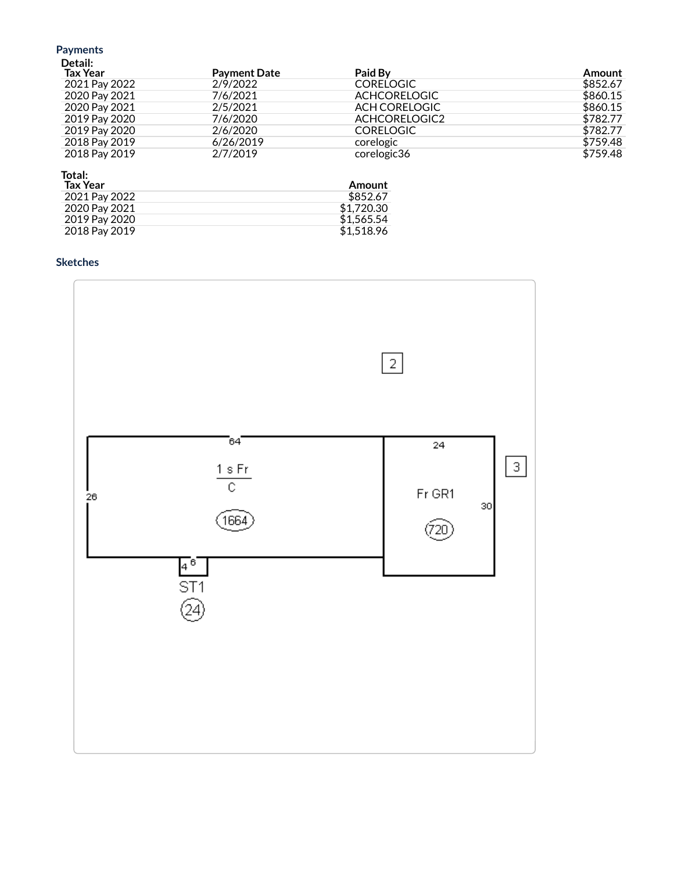# Payments<br>Detail:

| <b>Tax Year</b> | <b>Payment Date</b> | Paid By             | Amount   |
|-----------------|---------------------|---------------------|----------|
| 2021 Pay 2022   | 2/9/2022            | <b>CORELOGIC</b>    | \$852.67 |
| 2020 Pay 2021   | 7/6/2021            | <b>ACHCORELOGIC</b> | \$860.15 |
| 2020 Pay 2021   | 2/5/2021            | ACH CORELOGIC       | \$860.15 |
| 2019 Pay 2020   | 7/6/2020            | ACHCORELOGIC2       | \$782.77 |
| 2019 Pay 2020   | 2/6/2020            | <b>CORELOGIC</b>    | \$782.77 |
| 2018 Pay 2019   | 6/26/2019           | corelogic           | \$759.48 |
| 2018 Pay 2019   | 2/7/2019            | corelogic36         | \$759.48 |

# Total:

| Tax Year      | Amount     |
|---------------|------------|
| 2021 Pay 2022 | \$852.67   |
| 2020 Pay 2021 | \$1.720.30 |
| 2019 Pay 2020 | \$1.565.54 |
| 2018 Pay 2019 | \$1.518.96 |
|               |            |

# **Sketches**